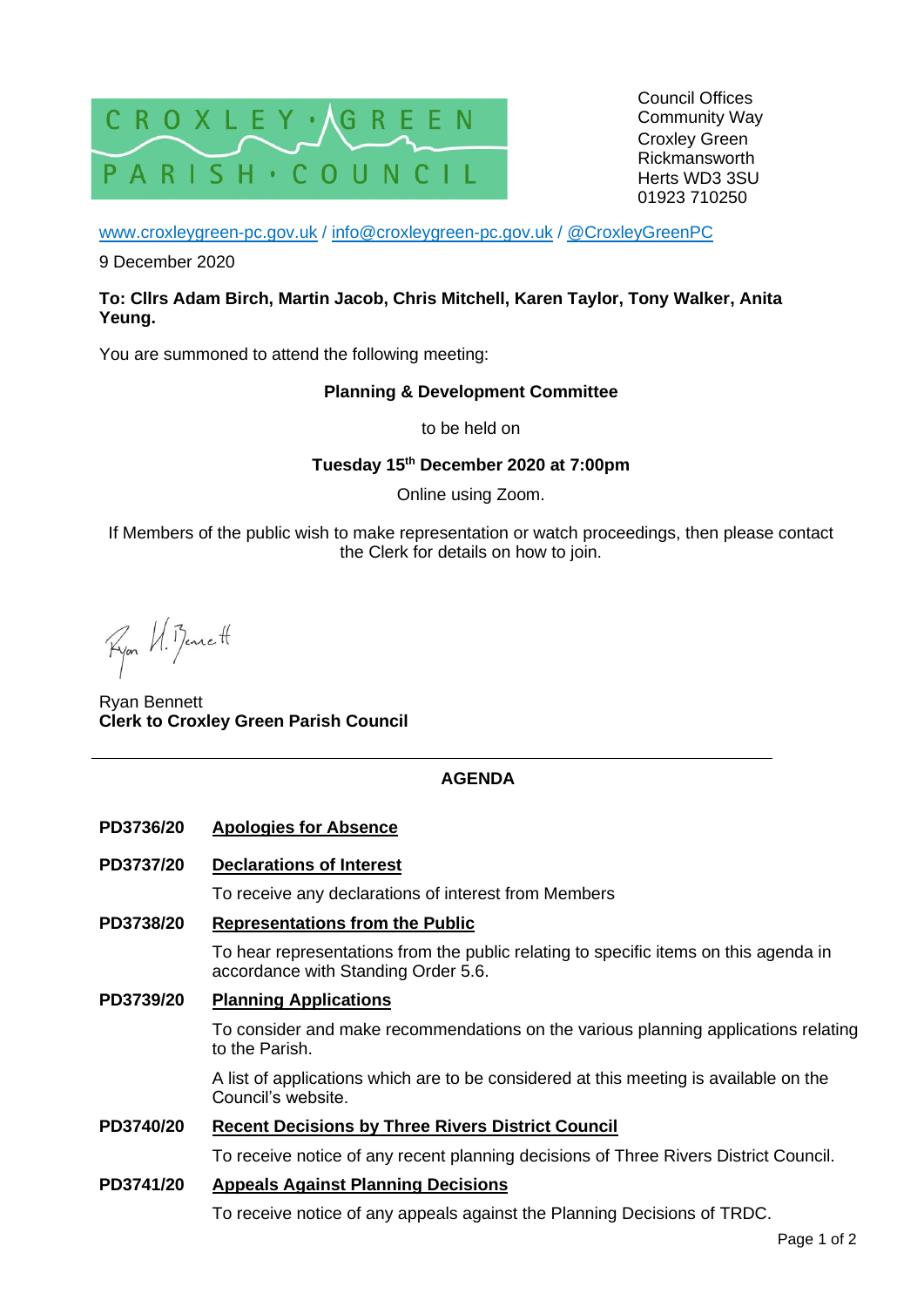

Council Offices Community Way Croxley Green Rickmansworth Herts WD3 3SU 01923 710250

[www.croxleygreen-pc.gov.uk](http://www.croxleygreen-pc.gov.uk/) / [info@croxleygreen-pc.gov.uk](mailto:info@croxleygreen-pc.gov.uk) / [@CroxleyGreenPC](https://twitter.com/CroxleyGreenPC)

9 December 2020

#### **To: Cllrs Adam Birch, Martin Jacob, Chris Mitchell, Karen Taylor, Tony Walker, Anita Yeung.**

You are summoned to attend the following meeting:

**Planning & Development Committee** 

to be held on

**Tuesday 15 th December 2020 at 7:00pm**

Online using Zoom.

If Members of the public wish to make representation or watch proceedings, then please contact the Clerk for details on how to join.

Ryon VI. Benett

Ryan Bennett **Clerk to Croxley Green Parish Council**

## **AGENDA**

- **PD3736/20 Apologies for Absence**
- **PD3737/20 Declarations of Interest**

To receive any declarations of interest from Members

**PD3738/20 Representations from the Public**

To hear representations from the public relating to specific items on this agenda in accordance with Standing Order 5.6.

**PD3739/20 Planning Applications**

To consider and make recommendations on the various planning applications relating to the Parish.

A list of applications which are to be considered at this meeting is available on the Council's website.

#### **PD3740/20 Recent Decisions by Three Rivers District Council**

To receive notice of any recent planning decisions of Three Rivers District Council.

#### **PD3741/20 Appeals Against Planning Decisions**

To receive notice of any appeals against the Planning Decisions of TRDC.